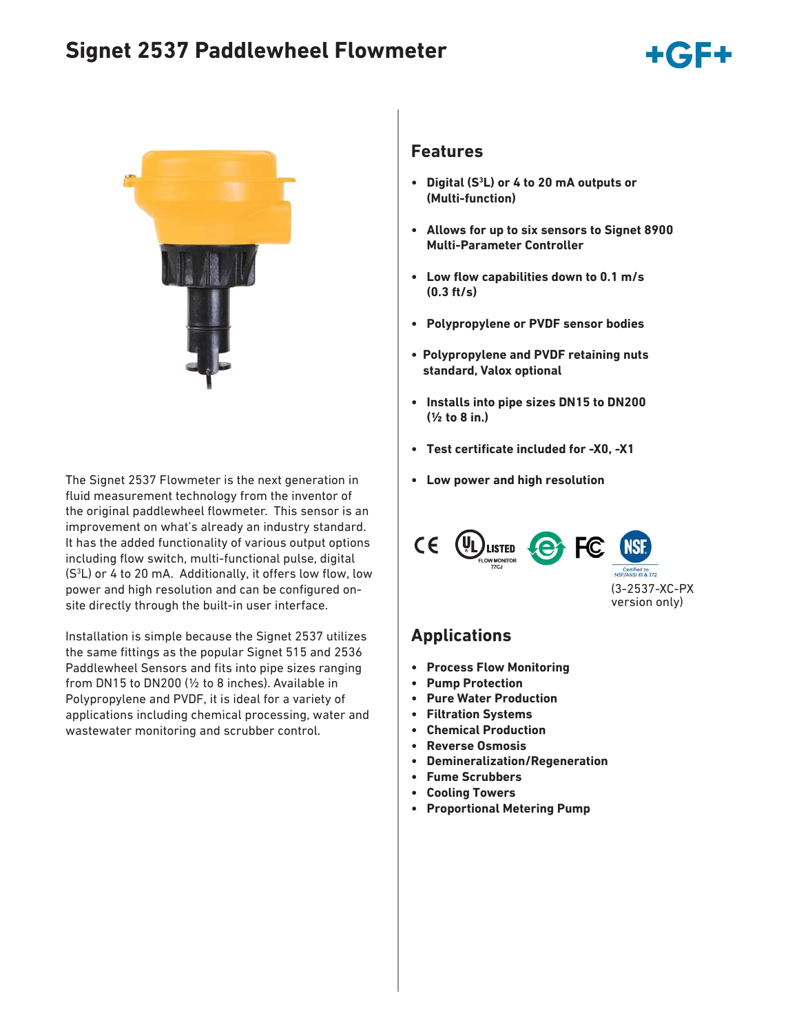# **Signet 2537 Paddlewheel Flowmeter**





The Signet 2537 Flowmeter is the next generation in **• Low power and high resolution** fluid measurement technology from the inventor of the original paddlewheel flowmeter. This sensor is an improvement on what's already an industry standard. It has the added functionality of various output options including flow switch, multi-functional pulse, digital (S<sup>3</sup>L) or 4 to 20 mA. Additionally, it offers low flow, low power and high resolution and can be configured onsite directly through the built-in user interface.

Installation is simple because the Signet 2537 utilizes the same fittings as the popular Signet 515 and 2536 Paddlewheel Sensors and fits into pipe sizes ranging from DN15 to DN200 (½ to 8 inches). Available in Polypropylene and PVDF, it is ideal for a variety of applications including chemical processing, water and wastewater monitoring and scrubber control.

#### **Features**

- **Digital (S3 L) or 4 to 20 mA outputs or (Multi-function)**
- **Allows for up to six sensors to Signet 8900 Multi-Parameter Controller**
- **Low flow capabilities down to 0.1 m/s (0.3 ft/s)**
- **Polypropylene or PVDF sensor bodies**
- **Polypropylene and PVDF retaining nuts standard, Valox optional**
- **Installs into pipe sizes DN15 to DN200 (½ to 8 in.)**
- **•** Test certificate included for -X0, -X1
- 



### **Applications**

- **Process Flow Monitoring**
- **Pump Protection**
- **Pure Water Production**
- **Filtration Systems**
- **Chemical Production**
- **Reverse Osmosis**
- **Demineralization/Regeneration**
- **Fume Scrubbers**
- **Cooling Towers**
- **Proportional Metering Pump**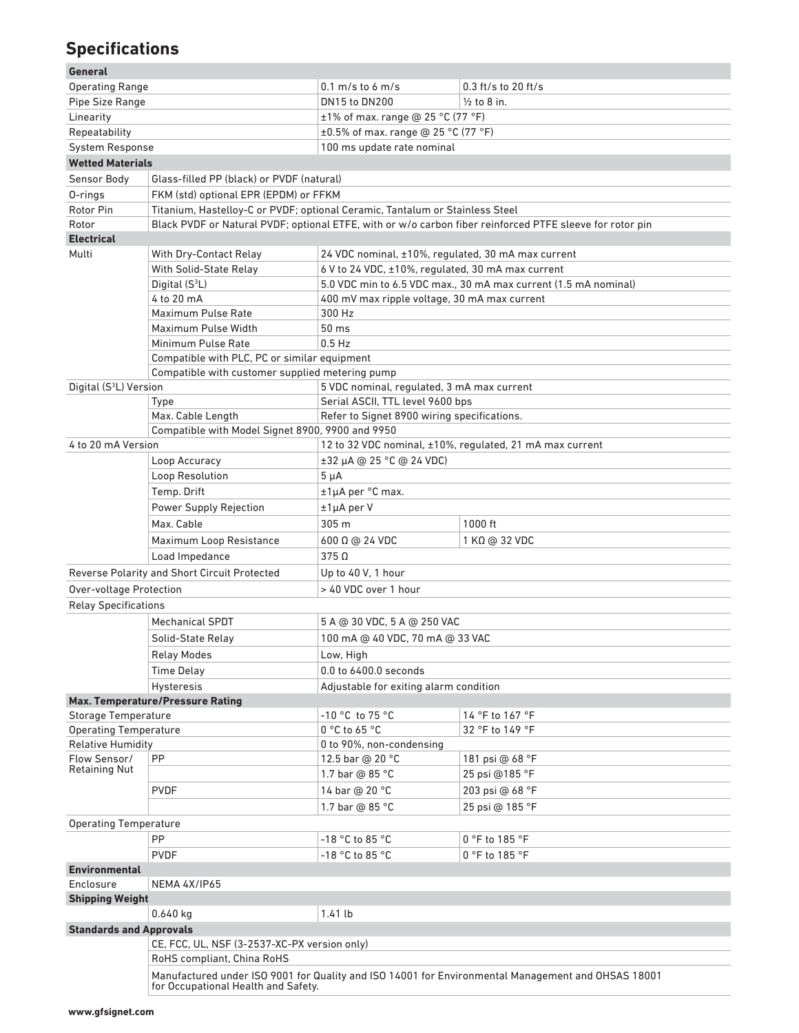# **Specifications**

| General |  |
|---------|--|
|         |  |

| <b>Operating Range</b>               |                                                                                                                                           | $0.1 \text{ m/s}$ to 6 m/s                                      | $0.3$ ft/s to 20 ft/s                                                                                    |  |  |
|--------------------------------------|-------------------------------------------------------------------------------------------------------------------------------------------|-----------------------------------------------------------------|----------------------------------------------------------------------------------------------------------|--|--|
| Pipe Size Range                      |                                                                                                                                           | DN15 to DN200                                                   | $\frac{1}{2}$ to 8 in.                                                                                   |  |  |
| Linearity                            |                                                                                                                                           | $±1\%$ of max. range @ 25 °C (77 °F)                            |                                                                                                          |  |  |
| Repeatability                        |                                                                                                                                           | ±0.5% of max. range @ 25 °C (77 °F)                             |                                                                                                          |  |  |
| System Response                      |                                                                                                                                           | 100 ms update rate nominal                                      |                                                                                                          |  |  |
| <b>Wetted Materials</b>              |                                                                                                                                           |                                                                 |                                                                                                          |  |  |
| Sensor Body                          | Glass-filled PP (black) or PVDF (natural)                                                                                                 |                                                                 |                                                                                                          |  |  |
| 0-rings                              | FKM (std) optional EPR (EPDM) or FFKM                                                                                                     |                                                                 |                                                                                                          |  |  |
| Rotor Pin                            | Titanium, Hastelloy-C or PVDF; optional Ceramic, Tantalum or Stainless Steel                                                              |                                                                 |                                                                                                          |  |  |
| Rotor                                |                                                                                                                                           |                                                                 | Black PVDF or Natural PVDF; optional ETFE, with or w/o carbon fiber reinforced PTFE sleeve for rotor pin |  |  |
| <b>Electrical</b>                    |                                                                                                                                           |                                                                 |                                                                                                          |  |  |
| Multi                                | With Dry-Contact Relay                                                                                                                    | 24 VDC nominal, ±10%, regulated, 30 mA max current              |                                                                                                          |  |  |
|                                      | With Solid-State Relay                                                                                                                    | 6 V to 24 VDC, ±10%, regulated, 30 mA max current               |                                                                                                          |  |  |
|                                      | Digital (S <sup>3</sup> L)                                                                                                                | 5.0 VDC min to 6.5 VDC max., 30 mA max current (1.5 mA nominal) |                                                                                                          |  |  |
|                                      | 4 to 20 mA                                                                                                                                | 400 mV max ripple voltage, 30 mA max current                    |                                                                                                          |  |  |
|                                      | Maximum Pulse Rate                                                                                                                        | 300 Hz                                                          |                                                                                                          |  |  |
|                                      | Maximum Pulse Width                                                                                                                       | 50 ms<br>$0.5$ Hz                                               |                                                                                                          |  |  |
|                                      | Minimum Pulse Rate                                                                                                                        |                                                                 |                                                                                                          |  |  |
|                                      | Compatible with PLC, PC or similar equipment                                                                                              |                                                                 |                                                                                                          |  |  |
|                                      | Compatible with customer supplied metering pump                                                                                           |                                                                 |                                                                                                          |  |  |
| Digital (S <sup>3</sup> L) Version   |                                                                                                                                           | 5 VDC nominal, regulated, 3 mA max current                      |                                                                                                          |  |  |
|                                      | Type                                                                                                                                      | Serial ASCII, TTL level 9600 bps                                |                                                                                                          |  |  |
|                                      | Max. Cable Length                                                                                                                         | Refer to Signet 8900 wiring specifications.                     |                                                                                                          |  |  |
|                                      | Compatible with Model Signet 8900, 9900 and 9950                                                                                          |                                                                 |                                                                                                          |  |  |
| 4 to 20 mA Version                   |                                                                                                                                           |                                                                 | 12 to 32 VDC nominal, ±10%, regulated, 21 mA max current                                                 |  |  |
|                                      | Loop Accuracy                                                                                                                             | ±32 µA @ 25 °C @ 24 VDC)                                        |                                                                                                          |  |  |
|                                      | Loop Resolution                                                                                                                           | $5 \mu A$                                                       |                                                                                                          |  |  |
|                                      | Temp. Drift                                                                                                                               | ±1µA per °C max.                                                |                                                                                                          |  |  |
|                                      | Power Supply Rejection                                                                                                                    | ±1µA per V                                                      |                                                                                                          |  |  |
|                                      | Max. Cable                                                                                                                                | 305 m                                                           | 1000 ft                                                                                                  |  |  |
|                                      | Maximum Loop Resistance                                                                                                                   | 600 Ω @ 24 VDC                                                  | 1 KΩ @ 32 VDC                                                                                            |  |  |
|                                      | Load Impedance                                                                                                                            | $375\Omega$                                                     |                                                                                                          |  |  |
|                                      | Reverse Polarity and Short Circuit Protected                                                                                              | Up to 40 V, 1 hour                                              |                                                                                                          |  |  |
| <b>Over-voltage Protection</b>       |                                                                                                                                           | > 40 VDC over 1 hour                                            |                                                                                                          |  |  |
| <b>Relay Specifications</b>          |                                                                                                                                           |                                                                 |                                                                                                          |  |  |
|                                      | <b>Mechanical SPDT</b>                                                                                                                    | 5 A @ 30 VDC, 5 A @ 250 VAC                                     |                                                                                                          |  |  |
|                                      | Solid-State Relay                                                                                                                         | 100 mA @ 40 VDC, 70 mA @ 33 VAC                                 |                                                                                                          |  |  |
|                                      | <b>Relay Modes</b>                                                                                                                        | Low, High                                                       |                                                                                                          |  |  |
|                                      | <b>Time Delay</b>                                                                                                                         | 0.0 to 6400.0 seconds                                           |                                                                                                          |  |  |
|                                      | Hysteresis                                                                                                                                | Adjustable for exiting alarm condition                          |                                                                                                          |  |  |
|                                      | Max. Temperature/Pressure Rating                                                                                                          |                                                                 |                                                                                                          |  |  |
| Storage Temperature                  |                                                                                                                                           | $-10$ °C to 75 °C                                               | 14 °F to 167 °F                                                                                          |  |  |
| <b>Operating Temperature</b>         |                                                                                                                                           | 0 °C to 65 °C                                                   | 32 °F to 149 °F                                                                                          |  |  |
| <b>Relative Humidity</b>             |                                                                                                                                           | 0 to 90%, non-condensing                                        |                                                                                                          |  |  |
| Flow Sensor/<br><b>Retaining Nut</b> | PP                                                                                                                                        | 12.5 bar @ 20 °C                                                | 181 psi @ 68 °F                                                                                          |  |  |
|                                      |                                                                                                                                           | 1.7 bar @ 85 °C                                                 | 25 psi @185 °F                                                                                           |  |  |
|                                      | <b>PVDF</b>                                                                                                                               | 14 bar @ 20 °C                                                  | 203 psi @ 68 °F                                                                                          |  |  |
|                                      |                                                                                                                                           | 1.7 bar @ 85 °C                                                 | 25 psi @ 185 °F                                                                                          |  |  |
| <b>Operating Temperature</b>         |                                                                                                                                           |                                                                 |                                                                                                          |  |  |
|                                      | PP                                                                                                                                        | $-18$ °C to 85 °C                                               | 0 °F to 185 °F                                                                                           |  |  |
|                                      | <b>PVDF</b>                                                                                                                               | -18 °C to 85 °C                                                 | 0 °F to 185 °F                                                                                           |  |  |
| <b>Environmental</b>                 |                                                                                                                                           |                                                                 |                                                                                                          |  |  |
| Enclosure<br>NEMA 4X/IP65            |                                                                                                                                           |                                                                 |                                                                                                          |  |  |
| <b>Shipping Weight</b>               |                                                                                                                                           |                                                                 |                                                                                                          |  |  |
|                                      | $0.640$ kg                                                                                                                                | 1.41 lb                                                         |                                                                                                          |  |  |
| <b>Standards and Approvals</b>       |                                                                                                                                           |                                                                 |                                                                                                          |  |  |
|                                      | CE, FCC, UL, NSF (3-2537-XC-PX version only)<br>RoHS compliant, China RoHS                                                                |                                                                 |                                                                                                          |  |  |
|                                      | Manufactured under ISO 9001 for Quality and ISO 14001 for Environmental Management and OHSAS 18001<br>for Occupational Health and Safety. |                                                                 |                                                                                                          |  |  |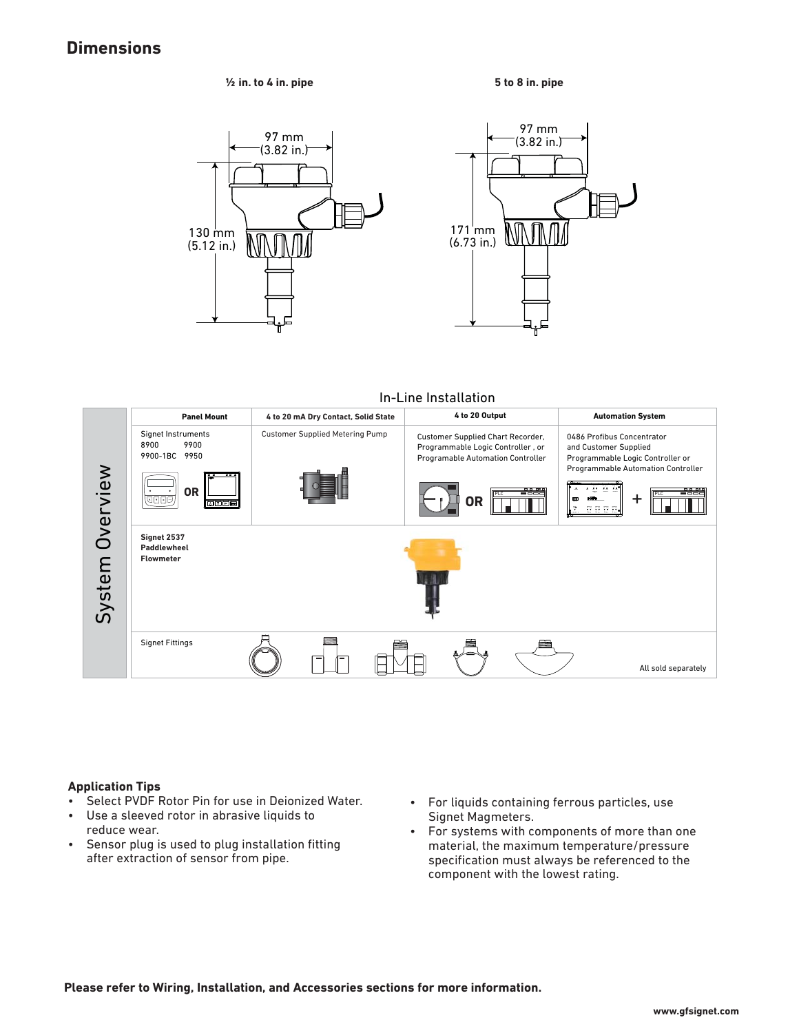### **Dimensions**

**½ in. to 4 in. pipe**







In-Line Installation



#### **Application Tips**

- Select PVDF Rotor Pin for use in Deionized Water.
- Use a sleeved rotor in abrasive liquids to reduce wear.
- Sensor plug is used to plug installation fitting after extraction of sensor from pipe.
- For liquids containing ferrous particles, use Signet Magmeters.
- For systems with components of more than one material, the maximum temperature/pressure specification must always be referenced to the component with the lowest rating.